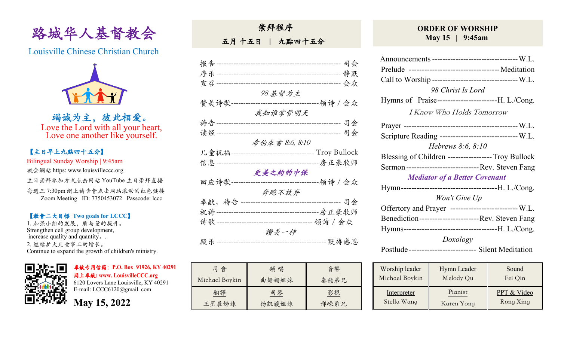

Louisville Chinese Christian Church



竭诚为主,彼此相爱。 Love the Lord with all your heart, Love one another like yourself.

## 【主日早上九點四⼗五分】

Bilingual Sunday Worship | 9:45am

教会網站 https: www.louisvilleccc.org

主日崇拜參加方式点击网站 YouTube 主日崇拜直播

每週三 7:30pm 網上禱告會点击网站滚动的红色链接 Zoom Meeting ID: 7750453072 Passcode: lccc

#### 【教會⼆⼤目標 **Two goals for LCCC**】

1. 加强小组的发展, 质与量的提升。 Strengthen cell group development, increase quality and quantity。. 2. 继续扩⼤⼉童事⼯的增长。 Continue to expand the growth of children's ministry.



奉献专用信箱:**P.O. Box 91926, KY 40291**  ⽹上奉献**: www. LouisvilleCCC.org**

6120 Lovers Lane Louisville, KY 40291 E-mail: LCCC6120@gmail. com

**May 15, 2022**

五月十五日 | 九點四十五分

| 报告-                 | ------------------------------- | 司会                  |
|---------------------|---------------------------------|---------------------|
|                     |                                 |                     |
| 宣召-                 |                                 |                     |
|                     |                                 |                     |
|                     | 98 基督为主                         |                     |
| 赞美诗歌-               |                                 | ----领诗 / 会众         |
|                     |                                 |                     |
|                     | 我知谁掌管明天                         |                     |
| 祷告---------         |                                 | 司会                  |
|                     |                                 |                     |
| 读经一                 |                                 | 司会<br>------------  |
|                     | 希伯來書 8:6, 8:10                  |                     |
| 儿童祝福--------------- |                                 |                     |
|                     |                                 |                     |
| 信息-----             |                                 | --------------房正豪牧师 |
|                     | 更美之約的中保                         |                     |
| 回应诗歌-               |                                 | ----领诗 / 会众         |
|                     |                                 |                     |
|                     | 奔跑不放弃                           |                     |
| 奉献、祷告               |                                 | 司会                  |
|                     |                                 |                     |
|                     |                                 |                     |
| 诗歌 -------          |                                 | 领诗 / 会众             |
|                     | 讚美一神                            |                     |
| 殿乐                  |                                 | -- 默祷感恩             |
|                     |                                 |                     |

| 司會             | 領 唱   | 音響   |
|----------------|-------|------|
| Michael Boykin | 曲姗姗姐妹 | 秦飛弟兄 |
| 翻譯             | 司琴    | 影視   |
| 王星辰姊妹          | 杨凯媛姐妹 | 邢嵘弟兄 |

### **ORDER OF WORSHIP May 15 | 9:45am**

| Announcements --------------------------------- W.L.   |                                                         |       |  |  |
|--------------------------------------------------------|---------------------------------------------------------|-------|--|--|
|                                                        |                                                         |       |  |  |
|                                                        |                                                         |       |  |  |
|                                                        | Call to Worship ---------------------------------- W.L. |       |  |  |
|                                                        | 98 Christ Is Lord                                       |       |  |  |
|                                                        | Hymns of Praise---------------------------H. L./Cong.   |       |  |  |
|                                                        | <b>I Know Who Holds Tomorrow</b>                        |       |  |  |
|                                                        |                                                         |       |  |  |
| Scripture Reading ------------------------------- W.L. |                                                         |       |  |  |
|                                                        | <i>Hebrews</i> 8:6, 8:10                                |       |  |  |
| Blessing of Children -----------------Troy Bullock     |                                                         |       |  |  |
| Sermon ----------------------------- Rev. Steven Fang  |                                                         |       |  |  |
| <b>Mediator of a Better Covenant</b>                   |                                                         |       |  |  |
|                                                        |                                                         |       |  |  |
| Won't Give Up                                          |                                                         |       |  |  |
| Offertory and Prayer -------------------------- W.L.   |                                                         |       |  |  |
| Benediction-------------------------Rev. Steven Fang   |                                                         |       |  |  |
|                                                        |                                                         |       |  |  |
| Doxology                                               |                                                         |       |  |  |
| Postlude-------------------------- Silent Meditation   |                                                         |       |  |  |
| Worship leader                                         | Hymn Leader                                             | Sound |  |  |

| Worship leader     | <b>Hymn</b> Leader | Sound       |
|--------------------|--------------------|-------------|
| Michael Boykin     | Melody Qu          | Fei Qin     |
| <b>Interpreter</b> | Pianist            | PPT & Video |
| Stella Wang        | Karen Yong         | Rong Xing   |